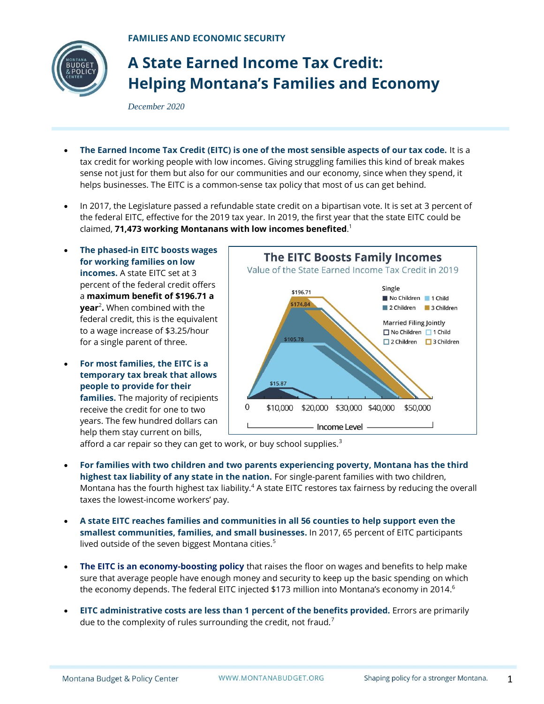

## **A State Earned Income Tax Credit: Helping Montana's Families and Economy**

*December 2020*

- **The Earned Income Tax Credit (EITC) is one of the most sensible aspects of our tax code.** It is a tax credit for working people with low incomes. Giving struggling families this kind of break makes sense not just for them but also for our communities and our economy, since when they spend, it helps businesses. The EITC is a common-sense tax policy that most of us can get behind.
- In 2017, the Legislature passed a refundable state credit on a bipartisan vote. It is set at 3 percent of the federal EITC, effective for the 2019 tax year. In 2019, the first year that the state EITC could be claimed, **71,473 working Montanans with low incomes benefited**. 1
- **The phased-in EITC boosts wages for working families on low incomes.** A state EITC set at 3 percent of the federal credit offers a **maximum benefit of \$196.71 a year**<sup>2</sup> **.** When combined with the federal credit, this is the equivalent to a wage increase of \$3.25/hour for a single parent of three.
- **For most families, the EITC is a temporary tax break that allows people to provide for their families.** The majority of recipients receive the credit for one to two years. The few hundred dollars can help them stay current on bills,



afford a car repair so they can get to work, or buy school supplies. $3$ 

- **For families with two children and two parents experiencing poverty, Montana has the third highest tax liability of any state in the nation.** For single-parent families with two children, Montana has the fourth highest tax liability. $4$  A state EITC restores tax fairness by reducing the overall taxes the lowest-income workers' pay.
- **A state EITC reaches families and communities in all 56 counties to help support even the smallest communities, families, and small businesses.** In 2017, 65 percent of EITC participants lived outside of the seven biggest Montana cities. 5
- **The EITC is an economy-boosting policy** that raises the floor on wages and benefits to help make sure that average people have enough money and security to keep up the basic spending on which the economy depends. The federal EITC injected \$173 million into Montana's economy in 2014. $^{\rm 6}$
- **EITC administrative costs are less than 1 percent of the benefits provided.** Errors are primarily due to the complexity of rules surrounding the credit, not fraud.<sup>7</sup>